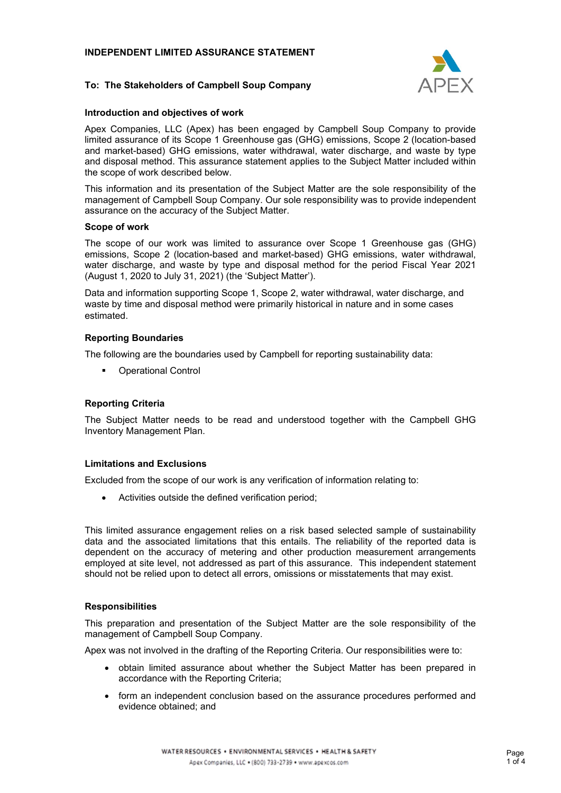# **INDEPENDENT LIMITED ASSURANCE STATEMENT**



# **To: The Stakeholders of Campbell Soup Company**

## **Introduction and objectives of work**

Apex Companies, LLC (Apex) has been engaged by Campbell Soup Company to provide limited assurance of its Scope 1 Greenhouse gas (GHG) emissions, Scope 2 (location-based and market-based) GHG emissions, water withdrawal, water discharge, and waste by type and disposal method. This assurance statement applies to the Subject Matter included within the scope of work described below.

This information and its presentation of the Subject Matter are the sole responsibility of the management of Campbell Soup Company. Our sole responsibility was to provide independent assurance on the accuracy of the Subject Matter.

#### **Scope of work**

The scope of our work was limited to assurance over Scope 1 Greenhouse gas (GHG) emissions, Scope 2 (location-based and market-based) GHG emissions, water withdrawal, water discharge, and waste by type and disposal method for the period Fiscal Year 2021 (August 1, 2020 to July 31, 2021) (the 'Subject Matter').

Data and information supporting Scope 1, Scope 2, water withdrawal, water discharge, and waste by time and disposal method were primarily historical in nature and in some cases estimated.

# **Reporting Boundaries**

The following are the boundaries used by Campbell for reporting sustainability data:

**•** Operational Control

# **Reporting Criteria**

The Subject Matter needs to be read and understood together with the Campbell GHG Inventory Management Plan.

#### **Limitations and Exclusions**

Excluded from the scope of our work is any verification of information relating to:

• Activities outside the defined verification period;

This limited assurance engagement relies on a risk based selected sample of sustainability data and the associated limitations that this entails. The reliability of the reported data is dependent on the accuracy of metering and other production measurement arrangements employed at site level, not addressed as part of this assurance. This independent statement should not be relied upon to detect all errors, omissions or misstatements that may exist.

#### **Responsibilities**

This preparation and presentation of the Subject Matter are the sole responsibility of the management of Campbell Soup Company.

Apex was not involved in the drafting of the Reporting Criteria. Our responsibilities were to:

- obtain limited assurance about whether the Subject Matter has been prepared in accordance with the Reporting Criteria;
- form an independent conclusion based on the assurance procedures performed and evidence obtained; and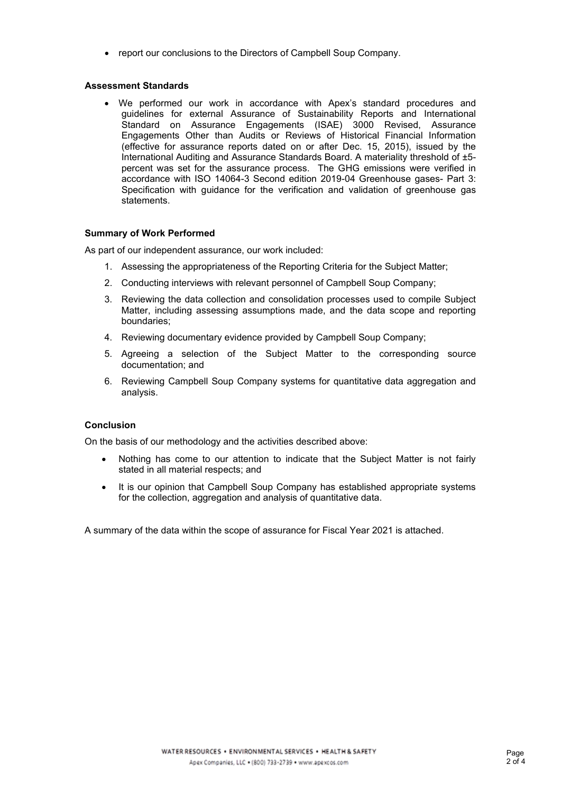• report our conclusions to the Directors of Campbell Soup Company.

## **Assessment Standards**

• We performed our work in accordance with Apex's standard procedures and guidelines for external Assurance of Sustainability Reports and International Standard on Assurance Engagements (ISAE) 3000 Revised, Assurance Engagements Other than Audits or Reviews of Historical Financial Information (effective for assurance reports dated on or after Dec. 15, 2015), issued by the International Auditing and Assurance Standards Board. A materiality threshold of ±5 percent was set for the assurance process. The GHG emissions were verified in accordance with ISO 14064-3 Second edition 2019-04 Greenhouse gases- Part 3: Specification with guidance for the verification and validation of greenhouse gas statements.

### **Summary of Work Performed**

As part of our independent assurance, our work included:

- 1. Assessing the appropriateness of the Reporting Criteria for the Subject Matter;
- 2. Conducting interviews with relevant personnel of Campbell Soup Company;
- 3. Reviewing the data collection and consolidation processes used to compile Subject Matter, including assessing assumptions made, and the data scope and reporting boundaries;
- 4. Reviewing documentary evidence provided by Campbell Soup Company;
- 5. Agreeing a selection of the Subject Matter to the corresponding source documentation; and
- 6. Reviewing Campbell Soup Company systems for quantitative data aggregation and analysis.

# **Conclusion**

On the basis of our methodology and the activities described above:

- Nothing has come to our attention to indicate that the Subject Matter is not fairly stated in all material respects; and
- It is our opinion that Campbell Soup Company has established appropriate systems for the collection, aggregation and analysis of quantitative data.

A summary of the data within the scope of assurance for Fiscal Year 2021 is attached.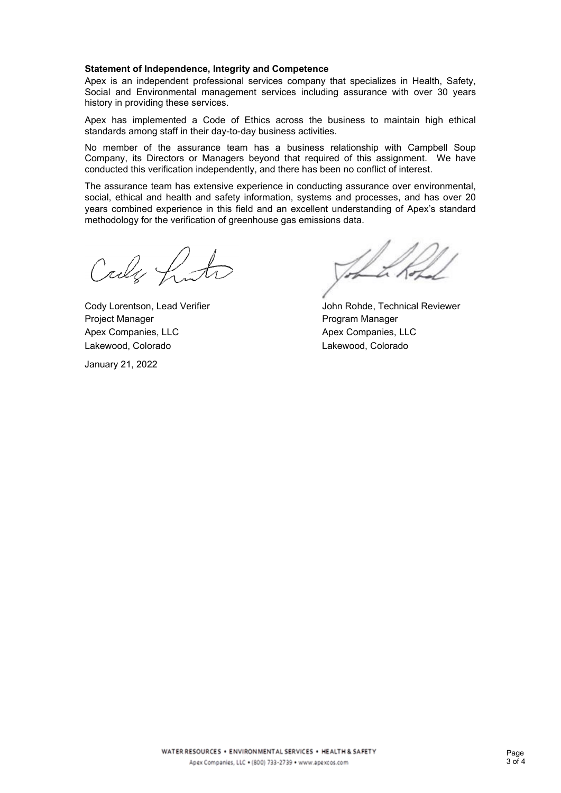#### **Statement of Independence, Integrity and Competence**

Apex is an independent professional services company that specializes in Health, Safety, Social and Environmental management services including assurance with over 30 years history in providing these services.

Apex has implemented a Code of Ethics across the business to maintain high ethical standards among staff in their day-to-day business activities.

No member of the assurance team has a business relationship with Campbell Soup Company, its Directors or Managers beyond that required of this assignment. We have conducted this verification independently, and there has been no conflict of interest.

The assurance team has extensive experience in conducting assurance over environmental, social, ethical and health and safety information, systems and processes, and has over 20 years combined experience in this field and an excellent understanding of Apex's standard methodology for the verification of greenhouse gas emissions data.

Call fruto

Project Manager **Project Manager** Program Manager Apex Companies, LLC Apex Companies, LLC Lakewood, Colorado Lakewood, Colorado

January 21, 2022

Cody Lorentson, Lead Verifier The Museum Cody Lorentson, Lead Verifier The Museum John Rohde, Technical Reviewer